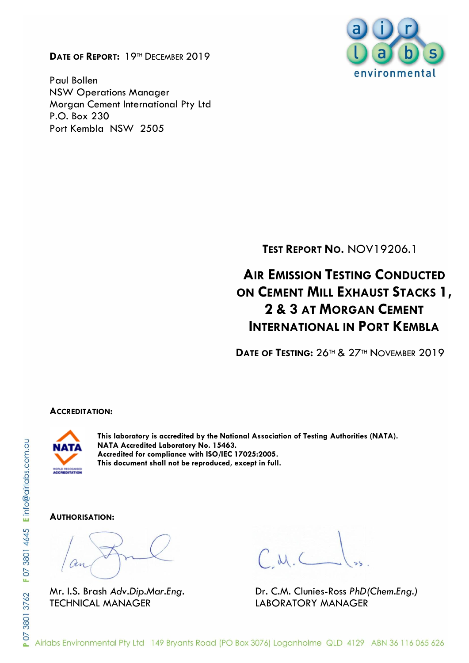**DATE OF REPORT:** 19TH DECEMBER 2019

Paul Bollen NSW Operations Manager Morgan Cement International Pty Ltd P.O. Box 230 Port Kembla NSW 2505



**TEST REPORT NO.** NOV19206.1

# **AIR EMISSION TESTING CONDUCTED ON CEMENT MILL EXHAUST STACKS 1, 2 & 3 AT MORGAN CEMENT INTERNATIONAL IN PORT KEMBLA**

**DATE OF TESTING:** 26TH & 27TH NOVEMBER 2019

#### **ACCREDITATION:**



**This laboratory is accredited by the National Association of Testing Authorities (NATA). NATA Accredited Laboratory No. 15463. Accredited for compliance with ISO/IEC 17025:2005. This document shall not be reproduced, except in full.**

#### **AUTHORISATION:**

TECHNICAL MANAGER LABORATORY MANAGER

Mr. I.S. Brash *Adv.Dip.Mar.Eng.* Dr. C.M. Clunies-Ross *PhD(Chem.Eng.)*

Airlabs Environmental Pty Ltd 149 Bryants Road (PO Box 3076) Loganholme QLD 4129 ABN 36 116 065 626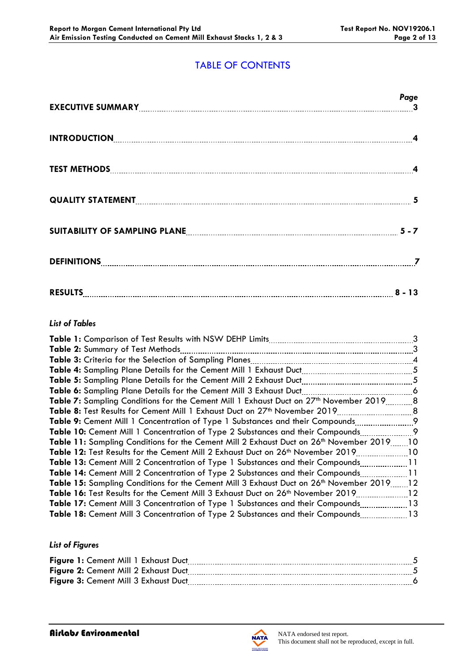## TABLE OF CONTENTS

|                                                                     | Page |
|---------------------------------------------------------------------|------|
|                                                                     |      |
|                                                                     |      |
|                                                                     |      |
| SUITABILITY OF SAMPLING PLANE <b>[19] THE READER ASSESSED</b> 5 - 7 |      |
|                                                                     |      |
| RESULTS 2 - 13                                                      |      |

#### *List of Tables*

|                                                                                                    | 3               |
|----------------------------------------------------------------------------------------------------|-----------------|
| Table 2: Summary of Test Methods                                                                   | 3               |
|                                                                                                    |                 |
|                                                                                                    |                 |
|                                                                                                    |                 |
| Table 6: Sampling Plane Details for the Cement Mill 3 Exhaust Duct                                 | $\sim$ 6        |
| Table 7: Sampling Conditions for the Cement Mill 1 Exhaust Duct on 27 <sup>th</sup> November 20198 |                 |
|                                                                                                    |                 |
|                                                                                                    |                 |
| <b>Table 10:</b> Cement Mill 1 Concentration of Type 2 Substances and their Compounds              | $\overline{9}$  |
| Table 11: Sampling Conditions for the Cement Mill 2 Exhaust Duct on 26th November 201910           |                 |
| Table 12: Test Results for the Cement Mill 2 Exhaust Duct on 26th November 2019                    | 10              |
| <b>Table 13:</b> Cement Mill 2 Concentration of Type 1 Substances and their Compounds11            |                 |
| <b>Table 14:</b> Cement Mill 2 Concentration of Type 2 Substances and their Compounds              | $\overline{11}$ |
| Table 15: Sampling Conditions for the Cement Mill 3 Exhaust Duct on 26th November 201912           |                 |
| Table 16: Test Results for the Cement Mill 3 Exhaust Duct on 26 <sup>th</sup> November 2019        |                 |
| Table 17: Cement Mill 3 Concentration of Type 1 Substances and their Compounds13                   |                 |
| Table 18: Cement Mill 3 Concentration of Type 2 Substances and their Compounds13                   |                 |
|                                                                                                    |                 |

#### *List of Figures*

| Figure 1: Cement Mill 1 Exhaust Duct |  |
|--------------------------------------|--|
| Figure 2: Cement Mill 2 Exhaust Duct |  |
| Figure 3: Cement Mill 3 Exhaust Duct |  |

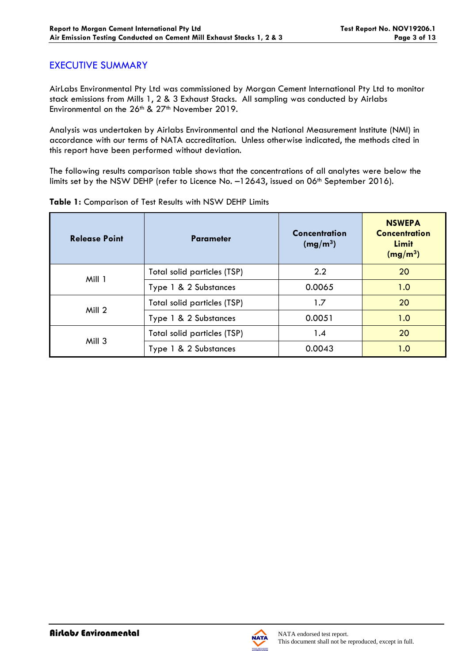#### EXECUTIVE SUMMARY

AirLabs Environmental Pty Ltd was commissioned by Morgan Cement International Pty Ltd to monitor stack emissions from Mills 1, 2 & 3 Exhaust Stacks. All sampling was conducted by Airlabs Environmental on the 26<sup>th</sup> & 27<sup>th</sup> November 2019.

Analysis was undertaken by Airlabs Environmental and the National Measurement Institute (NMI) in accordance with our terms of NATA accreditation. Unless otherwise indicated, the methods cited in this report have been performed without deviation.

The following results comparison table shows that the concentrations of all analytes were below the limits set by the NSW DEHP (refer to Licence No. -12643, issued on 06<sup>th</sup> September 2016).

| <b>Release Point</b> | <b>Parameter</b>            | <b>Concentration</b><br>(mg/m <sup>3</sup> ) | <b>NSWEPA</b><br><b>Concentration</b><br>Limit<br>(mg/m <sup>3</sup> ) |
|----------------------|-----------------------------|----------------------------------------------|------------------------------------------------------------------------|
| Mill 1               | Total solid particles (TSP) | 2.2                                          | 20                                                                     |
|                      | Type 1 & 2 Substances       | 0.0065                                       | 1.0                                                                    |
| Mill 2               | Total solid particles (TSP) | 1.7                                          | 20                                                                     |
|                      | Type 1 & 2 Substances       | 0.0051                                       | 1.0                                                                    |
| Mill 3               | Total solid particles (TSP) | 1.4                                          | 20                                                                     |
|                      | Type 1 & 2 Substances       | 0.0043                                       | 1.0                                                                    |

**Table 1:** Comparison of Test Results with NSW DEHP Limits

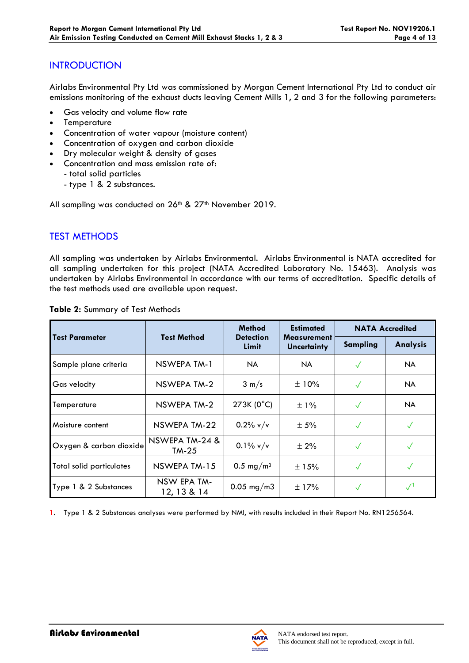## **INTRODUCTION**

Airlabs Environmental Pty Ltd was commissioned by Morgan Cement International Pty Ltd to conduct air emissions monitoring of the exhaust ducts leaving Cement Mills 1, 2 and 3 for the following parameters:

- Gas velocity and volume flow rate
- **Temperature**
- Concentration of water vapour (moisture content)
- Concentration of oxygen and carbon dioxide
- Dry molecular weight & density of gases
- Concentration and mass emission rate of:
	- total solid particles
		- type 1 & 2 substances.

All sampling was conducted on 26<sup>th</sup> & 27<sup>th</sup> November 2019.

# TEST METHODS

All sampling was undertaken by Airlabs Environmental. Airlabs Environmental is NATA accredited for all sampling undertaken for this project (NATA Accredited Laboratory No. 15463). Analysis was undertaken by Airlabs Environmental in accordance with our terms of accreditation. Specific details of the test methods used are available upon request.

|                                 | <b>Test Method</b>         | <b>Method</b><br><b>Detection</b><br>Limit | <b>Estimated</b><br><b>Measurement</b><br><b>Uncertainty</b> | <b>NATA Accredited</b> |                 |
|---------------------------------|----------------------------|--------------------------------------------|--------------------------------------------------------------|------------------------|-----------------|
| <b>Test Parameter</b>           |                            |                                            |                                                              | <b>Sampling</b>        | <b>Analysis</b> |
| Sample plane criteria           | NSWEPA TM-1                | NA.                                        | NA.                                                          |                        | NA.             |
| Gas velocity                    | NSWEPA TM-2                | $3 \text{ m/s}$                            | ±10%                                                         | $\checkmark$           | NA.             |
| Temperature                     | NSWEPA TM-2                | $273K (0^{\circ}C)$                        | $\pm$ 1%                                                     | $\checkmark$           | NA.             |
| Moisture content                | NSWEPA TM-22               | $0.2\%$ v/v                                | $\pm$ 5%                                                     | $\checkmark$           |                 |
| Oxygen & carbon dioxide         | NSWEPA TM-24 &<br>$TM-25$  | $0.1\%$ v/v                                | $\pm 2\%$                                                    | $\checkmark$           | $\checkmark$    |
| <b>Total solid particulates</b> | NSWEPA TM-15               | 0.5 mg/m <sup>3</sup>                      | ±15%                                                         | $\checkmark$           | $\checkmark$    |
| Type 1 & 2 Substances           | NSW EPA TM-<br>12, 13 & 14 | $0.05$ mg/m3                               | $\pm$ 17%                                                    | √                      |                 |

**Table 2:** Summary of Test Methods

**1**. Type 1 & 2 Substances analyses were performed by NMI, with results included in their Report No. RN1256564.

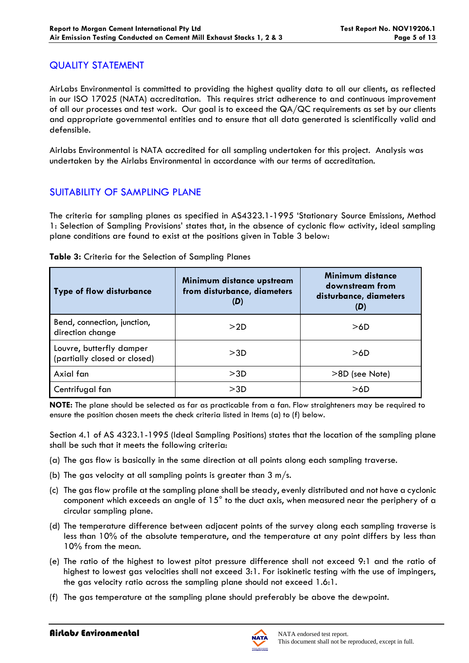#### QUALITY STATEMENT

AirLabs Environmental is committed to providing the highest quality data to all our clients, as reflected in our ISO 17025 (NATA) accreditation. This requires strict adherence to and continuous improvement of all our processes and test work. Our goal is to exceed the QA/QC requirements as set by our clients and appropriate governmental entities and to ensure that all data generated is scientifically valid and defensible.

Airlabs Environmental is NATA accredited for all sampling undertaken for this project. Analysis was undertaken by the Airlabs Environmental in accordance with our terms of accreditation.

## SUITABILITY OF SAMPLING PLANE

The criteria for sampling planes as specified in AS4323.1-1995 'Stationary Source Emissions, Method 1: Selection of Sampling Provisions' states that, in the absence of cyclonic flow activity, ideal sampling plane conditions are found to exist at the positions given in Table 3 below:

| <b>Type of flow disturbance</b>                          | Minimum distance upstream<br>from disturbance, diameters<br>(D) | Minimum distance<br>downstream from<br>disturbance, diameters<br>(D) |
|----------------------------------------------------------|-----------------------------------------------------------------|----------------------------------------------------------------------|
| Bend, connection, junction,<br>direction change          | >2D                                                             | >6D                                                                  |
| Louvre, butterfly damper<br>(partially closed or closed) | >3D                                                             | >6D                                                                  |
| Axial fan                                                | >3D                                                             | >8D (see Note)                                                       |
| Centrifugal fan                                          | >3D                                                             | >6D                                                                  |

#### **Table 3:** Criteria for the Selection of Sampling Planes

**NOTE:** The plane should be selected as far as practicable from a fan. Flow straighteners may be required to ensure the position chosen meets the check criteria listed in Items (a) to (f) below.

Section 4.1 of AS 4323.1-1995 (Ideal Sampling Positions) states that the location of the sampling plane shall be such that it meets the following criteria:

- (a) The gas flow is basically in the same direction at all points along each sampling traverse.
- (b) The gas velocity at all sampling points is greater than  $3 \text{ m/s}$ .
- (c) The gas flow profile at the sampling plane shall be steady, evenly distributed and not have a cyclonic component which exceeds an angle of 15° to the duct axis, when measured near the periphery of a circular sampling plane.
- (d) The temperature difference between adjacent points of the survey along each sampling traverse is less than 10% of the absolute temperature, and the temperature at any point differs by less than 10% from the mean.
- (e) The ratio of the highest to lowest pitot pressure difference shall not exceed 9:1 and the ratio of highest to lowest gas velocities shall not exceed 3:1. For isokinetic testing with the use of impingers, the gas velocity ratio across the sampling plane should not exceed 1.6:1.
- (f) The gas temperature at the sampling plane should preferably be above the dewpoint.

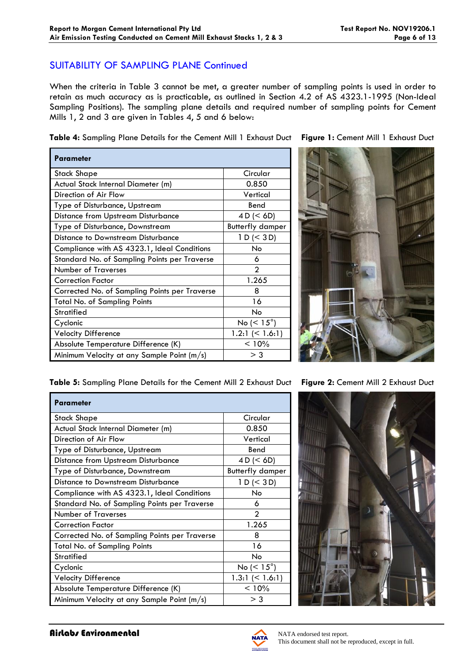#### SUITABILITY OF SAMPLING PLANE Continued

When the criteria in Table 3 cannot be met, a greater number of sampling points is used in order to retain as much accuracy as is practicable, as outlined in Section 4.2 of AS 4323.1-1995 (Non-Ideal Sampling Positions). The sampling plane details and required number of sampling points for Cement Mills 1, 2 and 3 are given in Tables 4, 5 and 6 below:

**Table 4:** Sampling Plane Details for the Cement Mill 1 Exhaust Duct **Figure 1:** Cement Mill 1 Exhaust Duct

| Parameter                                     |                          |
|-----------------------------------------------|--------------------------|
| Stack Shape                                   | Circular                 |
| Actual Stack Internal Diameter (m)            | 0.850                    |
| Direction of Air Flow                         | Vertical                 |
| Type of Disturbance, Upstream                 | Bend                     |
| <b>Distance from Upstream Disturbance</b>     | 4 D (< 6D)               |
| Type of Disturbance, Downstream               | <b>Butterfly damper</b>  |
| Distance to Downstream Disturbance            | 1 D (< 3 D)              |
| Compliance with AS 4323.1, Ideal Conditions   | No                       |
| Standard No. of Sampling Points per Traverse  | 6                        |
| <b>Number of Traverses</b>                    | $\mathfrak{p}$           |
| <b>Correction Factor</b>                      | 1.265                    |
| Corrected No. of Sampling Points per Traverse | 8                        |
| Total No. of Sampling Points                  | 16                       |
| Stratified                                    | No                       |
| Cyclonic                                      | No ( $\leq 15^{\circ}$ ) |
| <b>Velocity Difference</b>                    | 1.2:1 $(< 1.6:1)$        |
| Absolute Temperature Difference (K)           | < 10%                    |
| Minimum Velocity at any Sample Point (m/s)    | > 3                      |

**Table 5:** Sampling Plane Details for the Cement Mill 2 Exhaust Duct **Figure 2:** Cement Mill 2 Exhaust Duct

| <b>Parameter</b>                              |                         |
|-----------------------------------------------|-------------------------|
| <b>Stack Shape</b>                            | Circular                |
| Actual Stack Internal Diameter (m)            | 0.850                   |
| Direction of Air Flow                         | Vertical                |
| Type of Disturbance, Upstream                 | Bend                    |
| <b>Distance from Upstream Disturbance</b>     | 4 D (< 6D)              |
| Type of Disturbance, Downstream               | <b>Butterfly damper</b> |
| Distance to Downstream Disturbance            | 1 D (< 3 D)             |
| Compliance with AS 4323.1, Ideal Conditions   | No.                     |
| Standard No. of Sampling Points per Traverse  | 6                       |
| <b>Number of Traverses</b>                    | $\mathfrak{D}$          |
| <b>Correction Factor</b>                      | 1.265                   |
| Corrected No. of Sampling Points per Traverse | 8                       |
| <b>Total No. of Sampling Points</b>           | 16                      |
| <b>Stratified</b>                             | No                      |
| Cyclonic                                      | No $(< 15^{\circ})$     |
| <b>Velocity Difference</b>                    | 1.3:1 $($ 1.6:1)        |
| Absolute Temperature Difference (K)           | < 10%                   |
| Minimum Velocity at any Sample Point (m/s)    | $>$ 3                   |



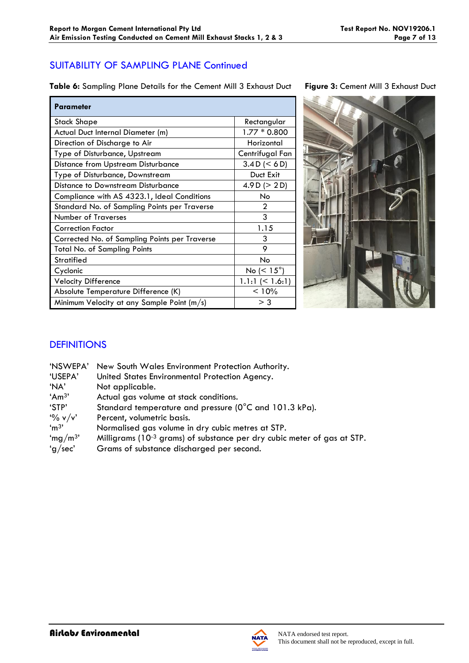## SUITABILITY OF SAMPLING PLANE Continued

**Table 6:** Sampling Plane Details for the Cement Mill 3 Exhaust Duct **Figure 3:** Cement Mill 3 Exhaust Duct

| <b>Parameter</b>                              |                       |
|-----------------------------------------------|-----------------------|
| Stack Shape                                   | Rectangular           |
| Actual Duct Internal Diameter (m)             | $1.77 * 0.800$        |
| Direction of Discharge to Air                 | Horizontal            |
| Type of Disturbance, Upstream                 | Centrifugal Fan       |
| <b>Distance from Upstream Disturbance</b>     | 3.4 D (< 6 D)         |
| Type of Disturbance, Downstream               | Duct Exit             |
| Distance to Downstream Disturbance            | 4.9 D ( $>$ 2 D)      |
| Compliance with AS 4323.1, Ideal Conditions   | No                    |
| Standard No. of Sampling Points per Traverse  | 2                     |
| <b>Number of Traverses</b>                    | 3                     |
| <b>Correction Factor</b>                      | 1.15                  |
| Corrected No. of Sampling Points per Traverse | 3                     |
| <b>Total No. of Sampling Points</b>           | 9                     |
| <b>Stratified</b>                             | <b>No</b>             |
| Cyclonic                                      | No ( $< 15^{\circ}$ ) |
| <b>Velocity Difference</b>                    | $1.1:1 \leq 1.6:1$    |
| Absolute Temperature Difference (K)           | < 10%                 |
| Minimum Velocity at any Sample Point (m/s)    | $>$ 3                 |



# **DEFINITIONS**

| 'NSWEPA'            | New South Wales Environment Protection Authority.                                   |
|---------------------|-------------------------------------------------------------------------------------|
| 'USEPA'             | United States Environmental Protection Agency.                                      |
| 'NA'                | Not applicable.                                                                     |
| 'Am <sup>3</sup> '  | Actual gas volume at stack conditions.                                              |
| 'STP'               | Standard temperature and pressure (0°C and 101.3 kPa).                              |
| $\frac{10}{6}$ v/v' | Percent, volumetric basis.                                                          |
| 'm <sup>3</sup>     | Normalised gas volume in dry cubic metres at STP.                                   |
| 'mg/m <sup>3'</sup> | Milligrams (10 <sup>-3</sup> grams) of substance per dry cubic meter of gas at STP. |
| 'g/sec'             | Grams of substance discharged per second.                                           |
|                     |                                                                                     |

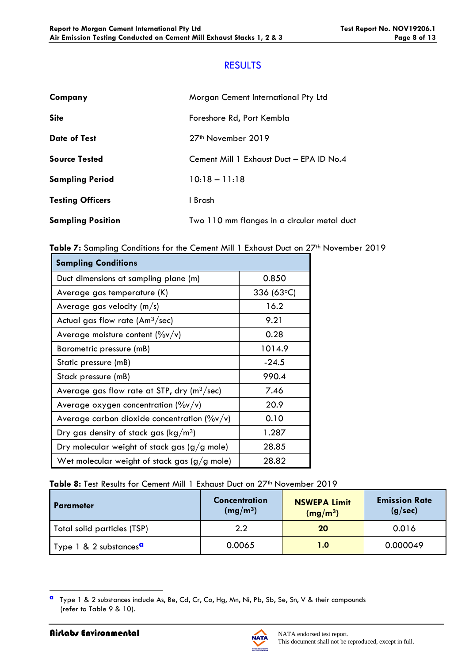## RESULTS

| Company                  | Morgan Cement International Pty Ltd         |
|--------------------------|---------------------------------------------|
| <b>Site</b>              | Foreshore Rd, Port Kembla                   |
| <b>Date of Test</b>      | 27 <sup>th</sup> November 2019              |
| <b>Source Tested</b>     | Cement Mill 1 Exhaust Duct - EPA ID No.4    |
| <b>Sampling Period</b>   | $10:18 - 11:18$                             |
| <b>Testing Officers</b>  | 1 Brash                                     |
| <b>Sampling Position</b> | Two 110 mm flanges in a circular metal duct |

Table 7: Sampling Conditions for the Cement Mill 1 Exhaust Duct on 27<sup>th</sup> November 2019

| <b>Sampling Conditions</b>                                          |                |
|---------------------------------------------------------------------|----------------|
| Duct dimensions at sampling plane (m)                               | 0.850          |
| Average gas temperature (K)                                         | 336 (63 $°C$ ) |
| Average gas velocity $(m/s)$                                        | 16.2           |
| Actual gas flow rate $(Am3/sec)$                                    | 9.21           |
| Average moisture content $(\%v/v)$                                  | 0.28           |
| Barometric pressure (mB)                                            | 1014.9         |
| Static pressure (mB)                                                | $-24.5$        |
| Stack pressure (mB)                                                 | 990.4          |
| Average gas flow rate at STP, $\frac{dy}{dx}$ (m <sup>3</sup> /sec) | 7.46           |
| Average oxygen concentration $(\%v/v)$                              | 20.9           |
| Average carbon dioxide concentration ( $\frac{9}{9}$ v/v)           | 0.10           |
| Dry gas density of stack gas ( $\text{kg}/\text{m}^3$ )             | 1.287          |
| Dry molecular weight of stack gas $(g/g$ mole)                      | 28.85          |
| Wet molecular weight of stack gas $(g/g \text{ mole})$              | 28.82          |

#### Table 8: Test Results for Cement Mill 1 Exhaust Duct on 27<sup>th</sup> November 2019

| I Parameter                        | Concentration<br>(mg/m <sup>3</sup> ) | <b>NSWEPA Limit</b><br>(mg/m <sup>3</sup> ) | <b>Emission Rate</b><br>(g/sec) |
|------------------------------------|---------------------------------------|---------------------------------------------|---------------------------------|
| Total solid particles (TSP)        | 2.2                                   | 20                                          | 0.016                           |
| Type 1 & 2 substances <sup>a</sup> | 0.0065                                | 1.0                                         | 0.000049                        |



**a** Type 1 & 2 substances include As, Be, Cd, Cr, Co, Hg, Mn, Ni, Pb, Sb, Se, Sn, V & their compounds (refer to Table 9 & 10).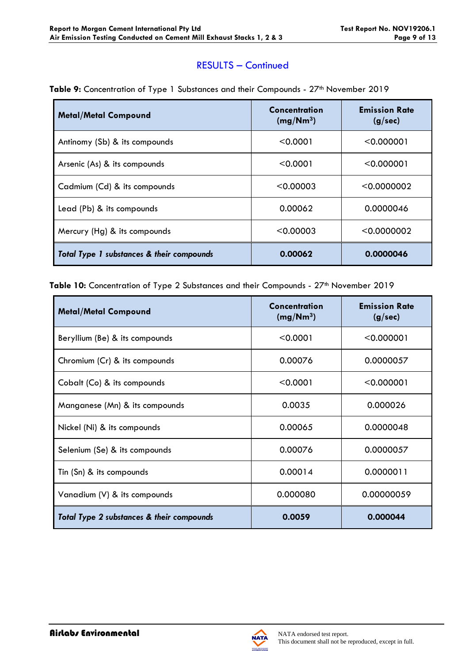#### RESULTS – Continued

| <b>Metal/Metal Compound</b>               | Concentration<br>(mg/Nm <sup>3</sup> ) | <b>Emission Rate</b><br>(g/sec) |
|-------------------------------------------|----------------------------------------|---------------------------------|
| Antinomy (Sb) & its compounds             | < 0.0001                               | $<$ 0.000001                    |
| Arsenic (As) & its compounds              | < 0.0001                               | < 0.000001                      |
| Cadmium (Cd) & its compounds              | < 0.00003                              | < 0.0000002                     |
| Lead (Pb) & its compounds                 | 0.00062                                | 0.0000046                       |
| Mercury (Hg) & its compounds              | < 0.00003                              | < 0.0000002                     |
| Total Type 1 substances & their compounds | 0.00062                                | 0.0000046                       |

Table 9: Concentration of Type 1 Substances and their Compounds - 27<sup>th</sup> November 2019

Table 10: Concentration of Type 2 Substances and their Compounds - 27<sup>th</sup> November 2019

| <b>Metal/Metal Compound</b>               | Concentration<br>(mg/Nm <sup>3</sup> ) | <b>Emission Rate</b><br>(g/sec) |
|-------------------------------------------|----------------------------------------|---------------------------------|
| Beryllium (Be) & its compounds            | < 0.0001                               | < 0.000001                      |
| Chromium (Cr) & its compounds             | 0.00076                                | 0.0000057                       |
| Cobalt (Co) & its compounds               | < 0.0001                               | < 0.000001                      |
| Manganese (Mn) & its compounds            | 0.0035                                 | 0.000026                        |
| Nickel (Ni) & its compounds               | 0.00065                                | 0.0000048                       |
| Selenium (Se) & its compounds             | 0.00076                                | 0.0000057                       |
| Tin (Sn) & its compounds                  | 0.00014                                | 0.0000011                       |
| Vanadium (V) & its compounds              | 0.000080                               | 0.00000059                      |
| Total Type 2 substances & their compounds | 0.0059                                 | 0.000044                        |



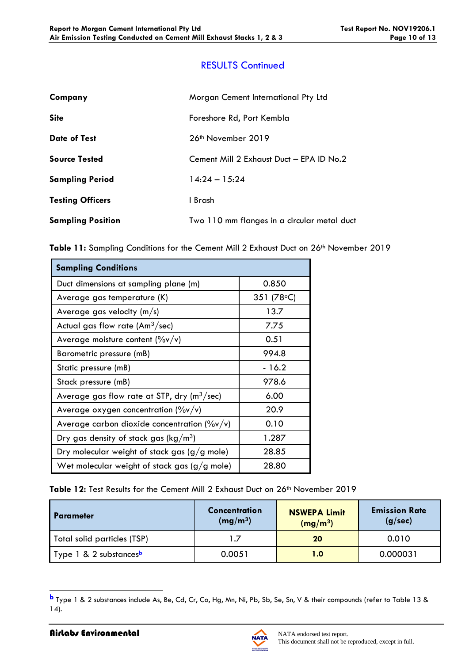## RESULTS Continued

| Company                  | Morgan Cement International Pty Ltd         |
|--------------------------|---------------------------------------------|
| <b>Site</b>              | Foreshore Rd, Port Kembla                   |
| <b>Date of Test</b>      | 26 <sup>th</sup> November 2019              |
| <b>Source Tested</b>     | Cement Mill 2 Exhaust Duct - EPA ID No.2    |
| <b>Sampling Period</b>   | $14.24 - 15.24$                             |
| <b>Testing Officers</b>  | I Brash                                     |
| <b>Sampling Position</b> | Two 110 mm flanges in a circular metal duct |

|  |  |  |  |  | Table 11: Sampling Conditions for the Cement Mill 2 Exhaust Duct on 26 <sup>th</sup> November 2019 |  |
|--|--|--|--|--|----------------------------------------------------------------------------------------------------|--|
|  |  |  |  |  |                                                                                                    |  |

| <b>Sampling Conditions</b>                                |                      |  |  |  |
|-----------------------------------------------------------|----------------------|--|--|--|
| Duct dimensions at sampling plane (m)                     | 0.850                |  |  |  |
| Average gas temperature (K)                               | 351 (78 $\degree$ C) |  |  |  |
| Average gas velocity $(m/s)$                              | 13.7                 |  |  |  |
| Actual gas flow rate $(Am^3/sec)$                         | 7.75                 |  |  |  |
| Average moisture content $(\%v/v)$                        | 0.51                 |  |  |  |
| Barometric pressure (mB)                                  | 994.8                |  |  |  |
| Static pressure (mB)                                      | - 16.2               |  |  |  |
| Stack pressure (mB)                                       | 978.6                |  |  |  |
| Average gas flow rate at STP, dry ( $m^3$ /sec)           | 6.00                 |  |  |  |
| Average oxygen concentration $(\%v/v)$                    | 20.9                 |  |  |  |
| Average carbon dioxide concentration ( $\frac{9}{9}$ v/v) | 0.10                 |  |  |  |
| Dry gas density of stack gas ( $\text{kg}/\text{m}^3$ )   | 1.287                |  |  |  |
| Dry molecular weight of stack gas $(g/g$ mole)            | 28.85                |  |  |  |
| Wet molecular weight of stack gas $(g/g$ mole)            | 28.80                |  |  |  |

Table 12: Test Results for the Cement Mill 2 Exhaust Duct on 26<sup>th</sup> November 2019

| I Parameter                        | <b>Concentration</b><br>(mg/m <sup>3</sup> ) | <b>NSWEPA Limit</b><br>(mg/m <sup>3</sup> ) | <b>Emission Rate</b><br>(g/sec) |
|------------------------------------|----------------------------------------------|---------------------------------------------|---------------------------------|
| Total solid particles (TSP)        |                                              | 20                                          | 0.010                           |
| Type 1 & 2 substances <sup>b</sup> | 0.0051                                       | 1.0                                         | 0.000031                        |

**b** Type 1 & 2 substances include As, Be, Cd, Cr, Co, Hg, Mn, Ni, Pb, Sb, Se, Sn, V & their compounds (refer to Table 13 & 14).

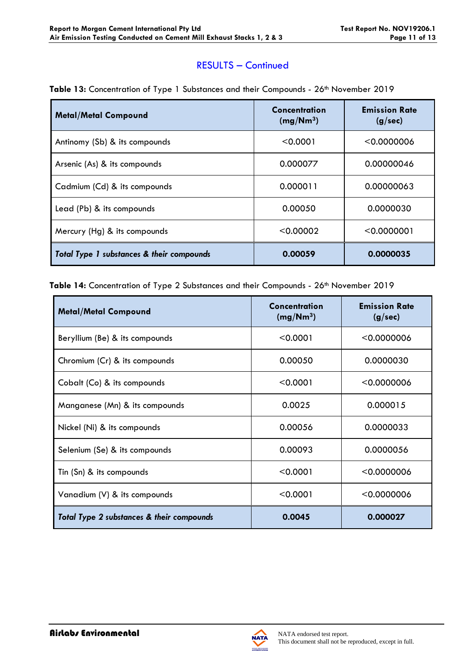#### RESULTS – Continued

| <b>Metal/Metal Compound</b>               | Concentration<br>(mg/Nm <sup>3</sup> ) | <b>Emission Rate</b><br>(g/sec) |
|-------------------------------------------|----------------------------------------|---------------------------------|
| Antinomy (Sb) & its compounds             | < 0.0001                               | < 0.0000006                     |
| Arsenic (As) & its compounds              | 0.000077                               | 0.00000046                      |
| Cadmium (Cd) & its compounds              | 0.000011                               | 0.00000063                      |
| Lead (Pb) & its compounds                 | 0.00050                                | 0.0000030                       |
| Mercury (Hg) & its compounds              | < 0.00002                              | < 0.0000001                     |
| Total Type 1 substances & their compounds | 0.00059                                | 0.0000035                       |

Table 13: Concentration of Type 1 Substances and their Compounds - 26<sup>th</sup> November 2019

Table 14: Concentration of Type 2 Substances and their Compounds - 26<sup>th</sup> November 2019

| <b>Metal/Metal Compound</b>               | <b>Concentration</b><br>(mg/Nm <sup>3</sup> ) | <b>Emission Rate</b><br>(g/sec) |
|-------------------------------------------|-----------------------------------------------|---------------------------------|
| Beryllium (Be) & its compounds            | < 0.0001                                      | < 0.0000006                     |
| Chromium (Cr) & its compounds             | 0.00050                                       | 0.0000030                       |
| Cobalt (Co) & its compounds               | < 0.0001                                      | < 0.0000006                     |
| Manganese (Mn) & its compounds            | 0.0025                                        | 0.000015                        |
| Nickel (Ni) & its compounds               | 0.00056                                       | 0.0000033                       |
| Selenium (Se) & its compounds             | 0.00093                                       | 0.0000056                       |
| Tin (Sn) & its compounds                  | < 0.0001                                      | < 0.0000006                     |
| Vanadium (V) & its compounds              | < 0.0001                                      | < 0.0000006                     |
| Total Type 2 substances & their compounds | 0.0045                                        | 0.000027                        |

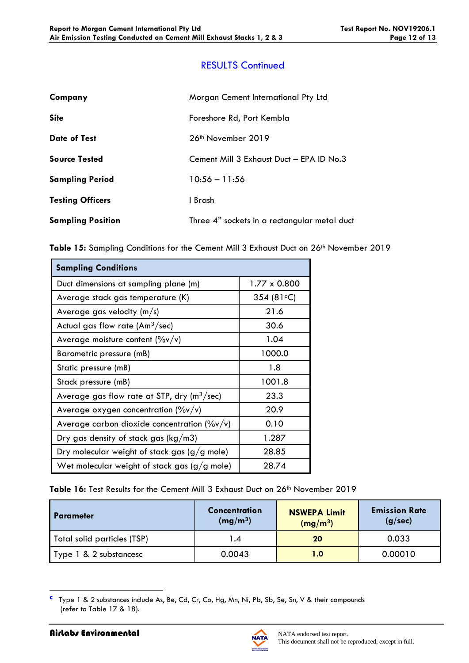## RESULTS Continued

| Company                  | Morgan Cement International Pty Ltd          |
|--------------------------|----------------------------------------------|
| <b>Site</b>              | Foreshore Rd, Port Kembla                    |
| <b>Date of Test</b>      | 26 <sup>th</sup> November 2019               |
| <b>Source Tested</b>     | Cement Mill 3 Exhaust Duct - EPA ID No.3     |
| <b>Sampling Period</b>   | $10:56 - 11:56$                              |
| <b>Testing Officers</b>  | 1 Brash                                      |
| <b>Sampling Position</b> | Three 4" sockets in a rectangular metal duct |

| <b>Sampling Conditions</b>                              |                      |
|---------------------------------------------------------|----------------------|
| Duct dimensions at sampling plane (m)                   | 1.77 x 0.800         |
| Average stack gas temperature (K)                       | 354 (81 $\degree$ C) |
| Average gas velocity $(m/s)$                            | 21.6                 |
| Actual gas flow rate (Am $3$ /sec)                      | 30.6                 |
| Average moisture content $(\%v/v)$                      | 1.04                 |
| Barometric pressure (mB)                                | 1000.0               |
| Static pressure (mB)                                    | 1.8                  |
| Stack pressure (mB)                                     | 1001.8               |
| Average gas flow rate at STP, dry ( $m^3$ /sec)         | 23.3                 |
| Average oxygen concentration $(\%v/v)$                  | 20.9                 |
| Average carbon dioxide concentration $(\frac{9}{9}v/v)$ | 0.10                 |
| Dry gas density of stack gas ( $kg/m3$ )                | 1.287                |
| Dry molecular weight of stack gas $(g/g$ mole)          | 28.85                |
| Wet molecular weight of stack gas $(g/g$ mole)          | 28.74                |

Table 16: Test Results for the Cement Mill 3 Exhaust Duct on 26<sup>th</sup> November 2019

| <b>Parameter</b>            | <b>Concentration</b><br>(mg/m <sup>3</sup> ) | <b>NSWEPA Limit</b><br>(mg/m <sup>3</sup> ) | <b>Emission Rate</b><br>(g/sec) |
|-----------------------------|----------------------------------------------|---------------------------------------------|---------------------------------|
| Total solid particles (TSP) | $\cdot$ 4                                    | 20                                          | 0.033                           |
| Type 1 & 2 substancesc      | 0.0043                                       | 1.0                                         | 0.00010                         |

**c** Type 1 & 2 substances include As, Be, Cd, Cr, Co, Hg, Mn, Ni, Pb, Sb, Se, Sn, V & their compounds (refer to Table 17 & 18).